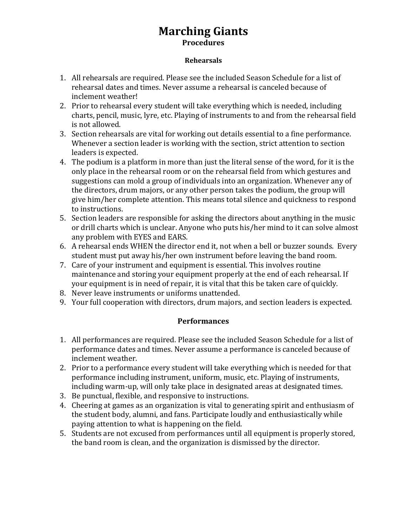## **Marching Giants Procedures**

#### **Rehearsals**

- 1. All rehearsals are required. Please see the included Season Schedule for a list of rehearsal dates and times. Never assume a rehearsal is canceled because of inclement weather!
- 2. Prior to rehearsal every student will take everything which is needed, including charts, pencil, music, lyre, etc. Playing of instruments to and from the rehearsal field is not allowed.
- 3. Section rehearsals are vital for working out details essential to a fine performance. Whenever a section leader is working with the section, strict attention to section leaders is expected.
- 4. The podium is a platform in more than just the literal sense of the word, for it is the only place in the rehearsal room or on the rehearsal field from which gestures and suggestions can mold a group of individuals into an organization. Whenever any of the directors, drum majors, or any other person takes the podium, the group will give him/her complete attention. This means total silence and quickness to respond to instructions.
- 5. Section leaders are responsible for asking the directors about anything in the music or drill charts which is unclear. Anyone who puts his/her mind to it can solve almost any problem with EYES and EARS.
- 6. A rehearsal ends WHEN the director end it, not when a bell or buzzer sounds. Every student must put away his/her own instrument before leaving the band room.
- 7. Care of your instrument and equipment is essential. This involves routine maintenance and storing your equipment properly at the end of each rehearsal. If your equipment is in need of repair, it is vital that this be taken care of quickly.
- 8. Never leave instruments or uniforms unattended.
- 9. Your full cooperation with directors, drum majors, and section leaders is expected.

### **Performances**

- 1. All performances are required. Please see the included Season Schedule for a list of performance dates and times. Never assume a performance is canceled because of inclement weather.
- 2. Prior to a performance every student will take everything which is needed for that performance including instrument, uniform, music, etc. Playing of instruments, including warm-up, will only take place in designated areas at designated times.
- 3. Be punctual, flexible, and responsive to instructions.
- 4. Cheering at games as an organization is vital to generating spirit and enthusiasm of the student body, alumni, and fans. Participate loudly and enthusiastically while paying attention to what is happening on the field.
- 5. Students are not excused from performances until all equipment is properly stored, the band room is clean, and the organization is dismissed by the director.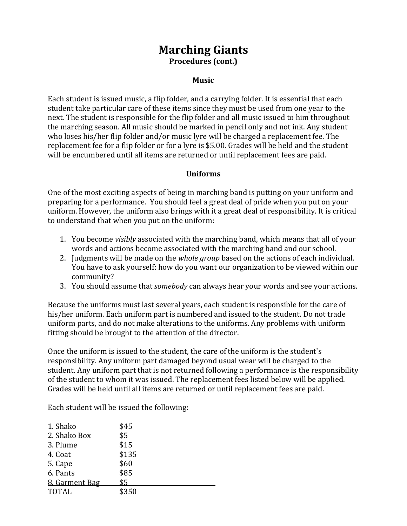## **Marching Giants Procedures (cont.)**

### **Music**

Each student is issued music, a flip folder, and a carrying folder. It is essential that each student take particular care of these items since they must be used from one year to the next. The student is responsible for the flip folder and all music issued to him throughout the marching season. All music should be marked in pencil only and not ink. Any student who loses his/her flip folder and/or music lyre will be charged a replacement fee. The replacement fee for a flip folder or for a lyre is \$5.00. Grades will be held and the student will be encumbered until all items are returned or until replacement fees are paid.

#### **Uniforms**

One of the most exciting aspects of being in marching band is putting on your uniform and preparing for a performance. You should feel a great deal of pride when you put on your uniform. However, the uniform also brings with it a great deal of responsibility. It is critical to understand that when you put on the uniform:

- 1. You become *visibly* associated with the marching band, which means that all of your words and actions become associated with the marching band and our school.
- 2. Judgments will be made on the *whole group* based on the actions of each individual. You have to ask yourself: how do you want our organization to be viewed within our community?
- 3. You should assume that *somebody* can always hear your words and see your actions.

Because the uniforms must last several years, each student is responsible for the care of his/her uniform. Each uniform part is numbered and issued to the student. Do not trade uniform parts, and do not make alterations to the uniforms. Any problems with uniform fitting should be brought to the attention of the director.

Once the uniform is issued to the student, the care of the uniform is the student's responsibility. Any uniform part damaged beyond usual wear will be charged to the student. Any uniform part that is not returned following a performance is the responsibility of the student to whom it was issued. The replacement fees listed below will be applied. Grades will be held until all items are returned or until replacement fees are paid.

Each student will be issued the following:

| 1. Shako       | \$45  |
|----------------|-------|
| 2. Shako Box   | \$5   |
| 3. Plume       | \$15  |
| 4. Coat        | \$135 |
| 5. Cape        | \$60  |
| 6. Pants       | \$85  |
| 8. Garment Bag | \$5   |
| <b>TOTAL</b>   | \$350 |